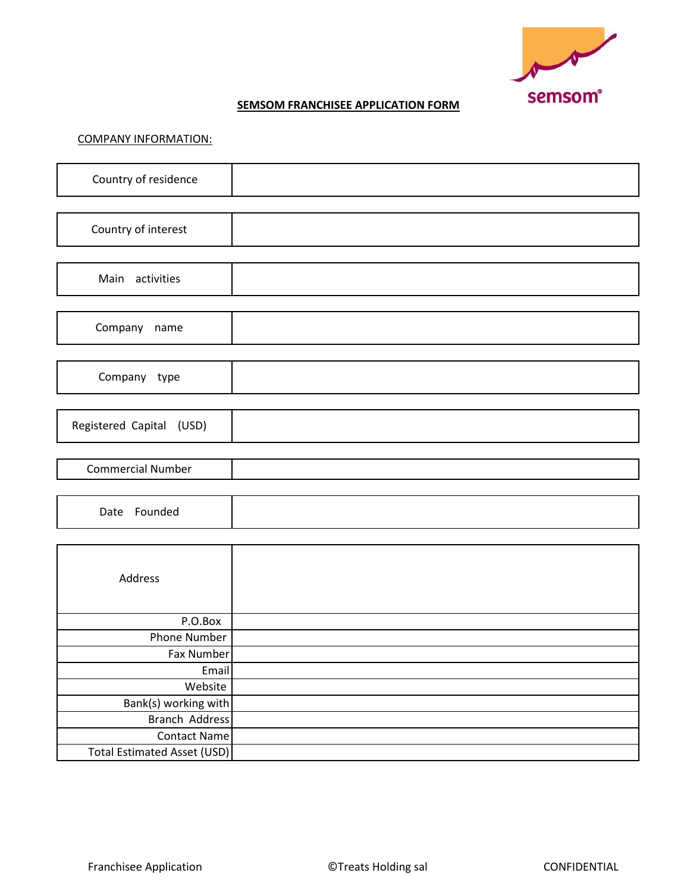

## **SEMSOM FRANCHISEE APPLICATION FORM**

## COMPANY INFORMATION:

| Country of residence               |  |
|------------------------------------|--|
|                                    |  |
| Country of interest                |  |
|                                    |  |
| Main activities                    |  |
|                                    |  |
| Company name                       |  |
|                                    |  |
| Company type                       |  |
|                                    |  |
| Registered Capital (USD)           |  |
|                                    |  |
| <b>Commercial Number</b>           |  |
|                                    |  |
| Date Founded                       |  |
|                                    |  |
|                                    |  |
| Address                            |  |
|                                    |  |
| P.O.Box                            |  |
| <b>Phone Number</b>                |  |
| Fax Number                         |  |
| Email                              |  |
| Website                            |  |
| Bank(s) working with               |  |
| <b>Branch Address</b>              |  |
| <b>Contact Name</b>                |  |
| <b>Total Estimated Asset (USD)</b> |  |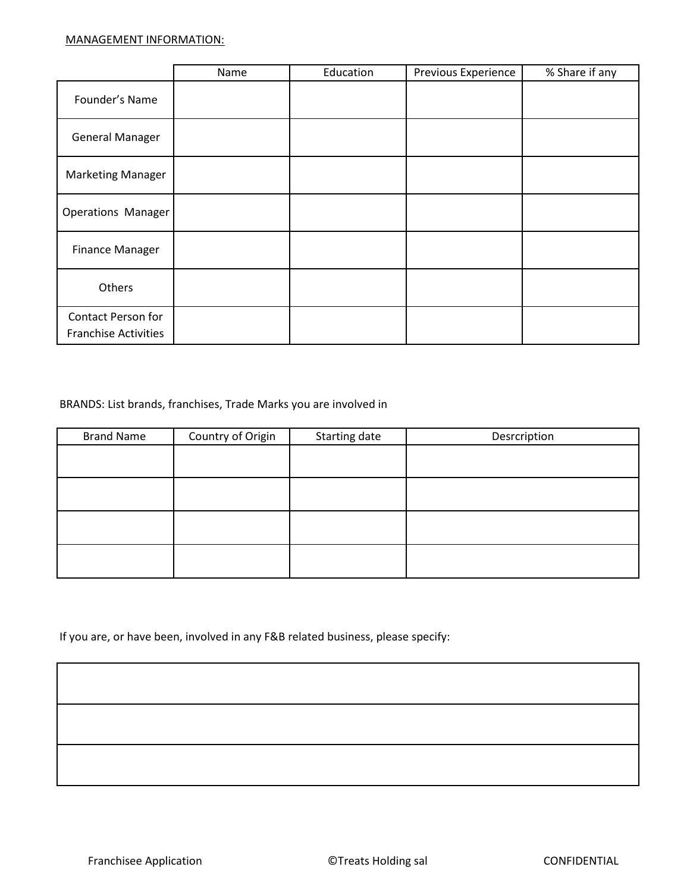|                                                          | Name | Education | Previous Experience | % Share if any |
|----------------------------------------------------------|------|-----------|---------------------|----------------|
| Founder's Name                                           |      |           |                     |                |
| <b>General Manager</b>                                   |      |           |                     |                |
| <b>Marketing Manager</b>                                 |      |           |                     |                |
| Operations Manager                                       |      |           |                     |                |
| Finance Manager                                          |      |           |                     |                |
| Others                                                   |      |           |                     |                |
| <b>Contact Person for</b><br><b>Franchise Activities</b> |      |           |                     |                |

## BRANDS: List brands, franchises, Trade Marks you are involved in

| <b>Brand Name</b> | Country of Origin | Starting date | Desrcription |
|-------------------|-------------------|---------------|--------------|
|                   |                   |               |              |
|                   |                   |               |              |
|                   |                   |               |              |
|                   |                   |               |              |
|                   |                   |               |              |
|                   |                   |               |              |
|                   |                   |               |              |
|                   |                   |               |              |

If you are, or have been, involved in any F&B related business, please specify: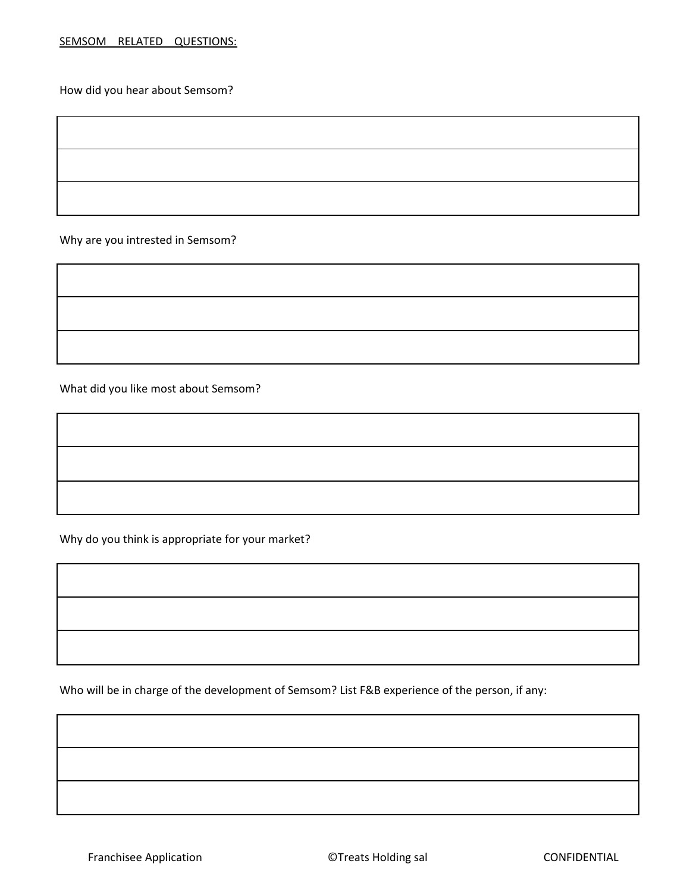How did you hear about Semsom?

Why are you intrested in Semsom?

What did you like most about Semsom?

Why do you think is appropriate for your market?

Who will be in charge of the development of Semsom? List F&B experience of the person, if any:

Franchisee Application **Exercise Exercise** CONFIDENTIAL CONFIDENTIAL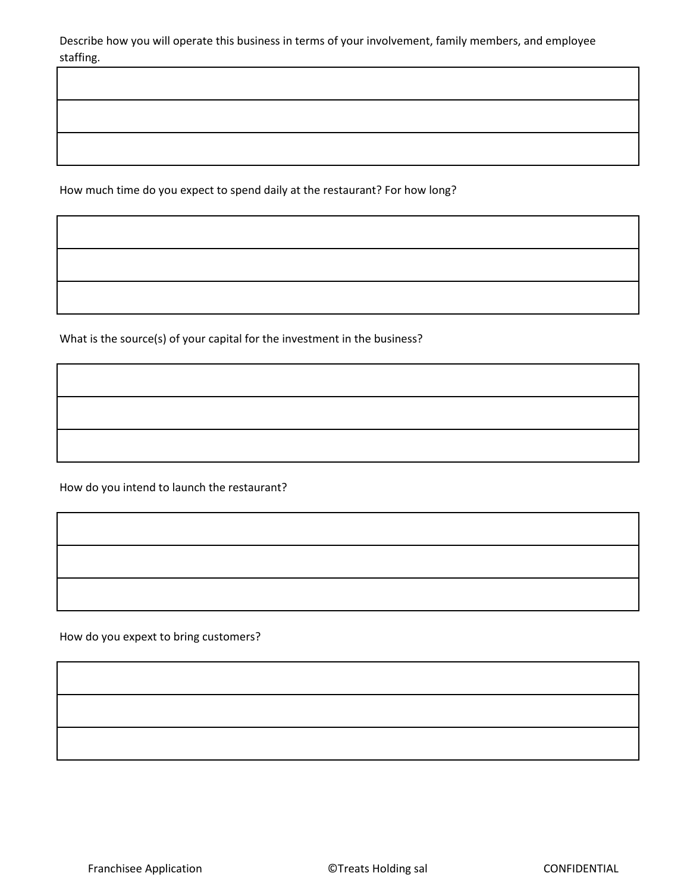Describe how you will operate this business in terms of your involvement, family members, and employee staffing.

How much time do you expect to spend daily at the restaurant? For how long?

What is the source(s) of your capital for the investment in the business?

How do you intend to launch the restaurant?

How do you expext to bring customers?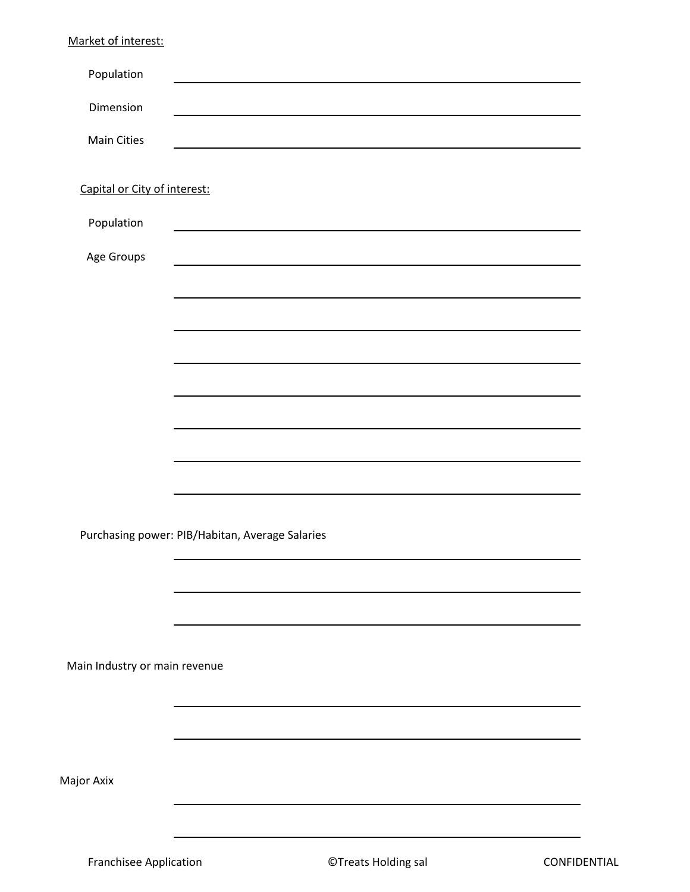Franchisee Application **Example 20 Treats Holding sal CONFIDENTIAL**